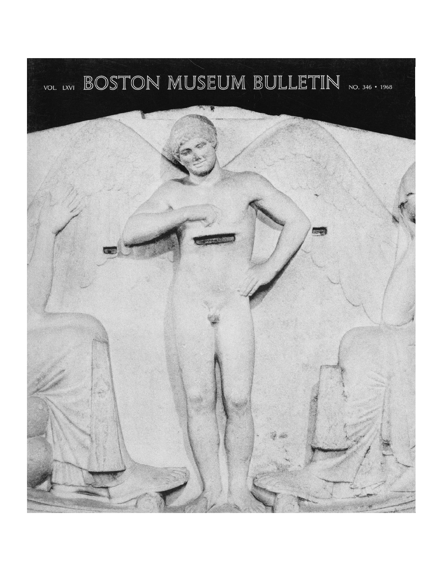## VOL. LXVI BOSTON MUSEUM BULLETIN NO. 346 · 1968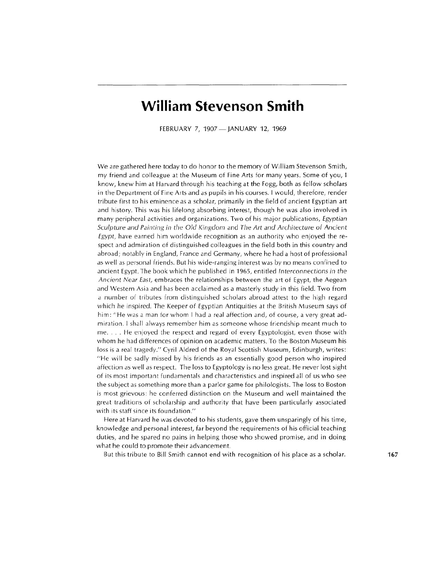## **William Stevenson Smith**

FEBRUARY 7, 1907 - JANUARY 12, 1969

We are gathered here today to do honor to the memory of William Stevenson Smith, my friend and colleague at the Museum of Fine Arts for many years. Some of you, <sup>I</sup> know, knew him at Harvard through his teaching at the Fogg, both as fellow scholars in the Department of Fine Arts and as pupils in his courses. I would, therefore, render tribute first to his eminence as a scholar, primarily in the field of ancient Egyptian art and history. This was his lifelong absorbing interest, though he was also involved in many peripheral activities and organizations. Two of his major publications, Egyptian Sculpture *and* Painting in the Old Kingdom and The Art and Architecture *of* Ancient Egypt, have earned him worldwide recognition as an authority who enjoyed the respect and admiration of distinguished colleagues in the field both in this country and abroad; notably in England, France and Germany, where he had a host of professional as well as personal friends. But his wide-ranging interest was by no means confined to ancient Egypt. The book which he published in 1965, entitled lnterconnections in the Ancient Near East, embraces the relationships between the art of Egypt, the Aegean and Western Asia and has been acclaimed as a masterly study in this field. Two from a number of tributes from distinguished scholars abroad attest to the high regard which he inspired. The Keeper of Egyptian Antiquities at the British Museum says of him: "He was a man for whom I had a real affection and, of course, a very great admiration. I shall always remember him as someone whose friendship meant much to me. . . . He enjoyed the respect and regard of every Egyptologist, even those with whom he had differences of opinion on academic matters. To the Boston Museum his loss is a real tragedy." Cyril Aldred of the Royal Scottish Museum, Edinburgh, writes: "He will be sadly missed by his friends as an essentially good person who inspired affection as well as respect. The loss to Egyptology is no less great. He never lost sight of its most important fundamentals and characteristics and inspired all of us who see the subject as something more than a parlor game for philologists. The loss to Boston is most grievous: he conferred distinction on the Museum and well maintained the great traditions of scholarship and authority that have been particularly associated with its staff since its foundation.''

Here at Harvard he was devoted to his students, gave them unsparingly of his time, knowledge and personal interest, far beyond the requirements of his official teaching duties, and he spared no pains in helping those who showed promise, and in doing what he could to promote their advancement.

But this tribute to Bill Smith cannot end with recognition of his place as a scholar. **167**